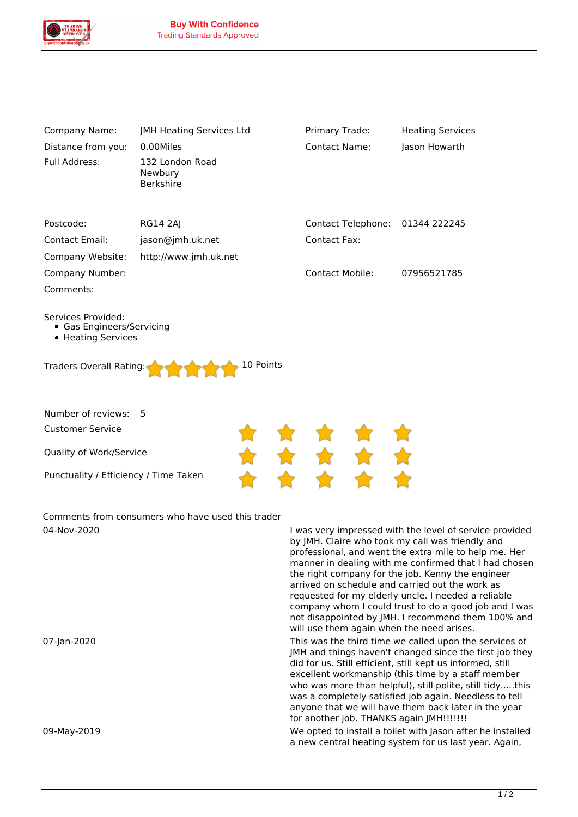

| Company Name:                                                                                                        | JMH Heating Services Ltd                       | Primary Trade:         | <b>Heating Services</b> |  |
|----------------------------------------------------------------------------------------------------------------------|------------------------------------------------|------------------------|-------------------------|--|
| Distance from you:                                                                                                   | 0.00Miles                                      | <b>Contact Name:</b>   | Jason Howarth           |  |
| Full Address:                                                                                                        | 132 London Road<br>Newbury<br><b>Berkshire</b> |                        |                         |  |
| Postcode:                                                                                                            | <b>RG14 2AJ</b>                                | Contact Telephone:     | 01344 222245            |  |
| <b>Contact Email:</b>                                                                                                | jason@jmh.uk.net                               | <b>Contact Fax:</b>    |                         |  |
| Company Website:                                                                                                     | http://www.jmh.uk.net                          |                        |                         |  |
| Company Number:                                                                                                      |                                                | <b>Contact Mobile:</b> | 07956521785             |  |
| Comments:                                                                                                            |                                                |                        |                         |  |
| Services Provided:<br>• Gas Engineers/Servicing<br>• Heating Services<br>10 Points<br><b>Traders Overall Rating:</b> |                                                |                        |                         |  |
| Number of reviews:                                                                                                   | 5                                              |                        |                         |  |
| <b>Customer Service</b>                                                                                              |                                                |                        |                         |  |
| Quality of Work/Service                                                                                              |                                                |                        |                         |  |
| Punctuality / Efficiency / Time Taken                                                                                |                                                |                        |                         |  |
|                                                                                                                      |                                                |                        |                         |  |

*Comments from consumers who have used this trader 04-Nov-2020 I was very impressed with the level of service provided*

*by JMH. Claire who took my call was friendly and professional, and went the extra mile to help me. Her manner in dealing with me confirmed that I had chosen the right company for the job. Kenny the engineer arrived on schedule and carried out the work as requested for my elderly uncle. I needed a reliable company whom I could trust to do a good job and I was not disappointed by JMH. I recommend them 100% and will use them again when the need arises.*

*07-Jan-2020 This was the third time we called upon the services of JMH and things haven't changed since the first job they did for us. Still efficient, still kept us informed, still excellent workmanship (this time by a staff member who was more than helpful), still polite, still tidy.....this was a completely satisfied job again. Needless to tell anyone that we will have them back later in the year for another job. THANKS again JMH!!!!!!!*

*09-May-2019 We opted to install a toilet with Jason after he installed a new central heating system for us last year. Again,*